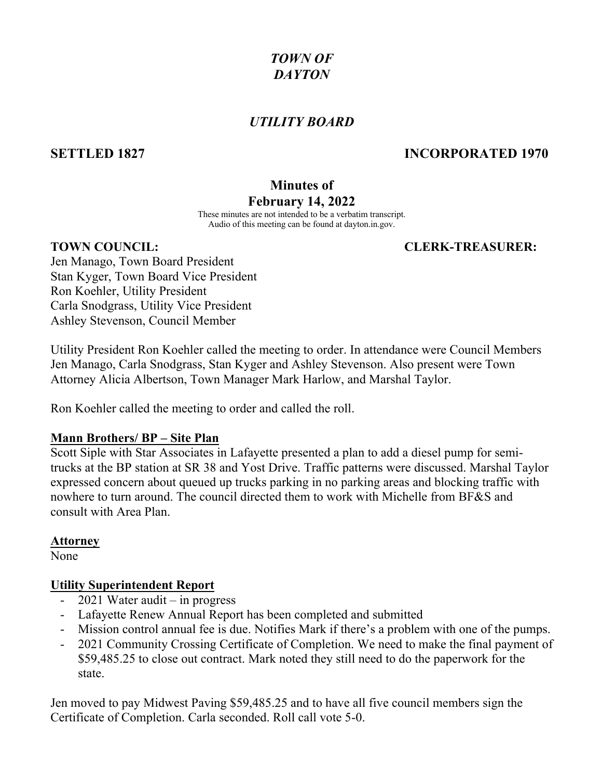## *TOWN OF DAYTON*

## *UTILITY BOARD*

## **SETTLED 1827 INCORPORATED 1970**

# **Minutes of**

## **February 14, 2022**

These minutes are not intended to be a verbatim transcript. Audio of this meeting can be found at dayton.in.gov.

## **TOWN COUNCIL: CLERK-TREASURER:**

Jen Manago, Town Board President Stan Kyger, Town Board Vice President Ron Koehler, Utility President Carla Snodgrass, Utility Vice President Ashley Stevenson, Council Member

Utility President Ron Koehler called the meeting to order. In attendance were Council Members Jen Manago, Carla Snodgrass, Stan Kyger and Ashley Stevenson. Also present were Town Attorney Alicia Albertson, Town Manager Mark Harlow, and Marshal Taylor.

Ron Koehler called the meeting to order and called the roll.

### **Mann Brothers/ BP – Site Plan**

Scott Siple with Star Associates in Lafayette presented a plan to add a diesel pump for semitrucks at the BP station at SR 38 and Yost Drive. Traffic patterns were discussed. Marshal Taylor expressed concern about queued up trucks parking in no parking areas and blocking traffic with nowhere to turn around. The council directed them to work with Michelle from BF&S and consult with Area Plan.

### **Attorney**

None

## **Utility Superintendent Report**

- 2021 Water audit in progress
- Lafayette Renew Annual Report has been completed and submitted
- Mission control annual fee is due. Notifies Mark if there's a problem with one of the pumps.
- 2021 Community Crossing Certificate of Completion. We need to make the final payment of \$59,485.25 to close out contract. Mark noted they still need to do the paperwork for the state.

Jen moved to pay Midwest Paving \$59,485.25 and to have all five council members sign the Certificate of Completion. Carla seconded. Roll call vote 5-0.